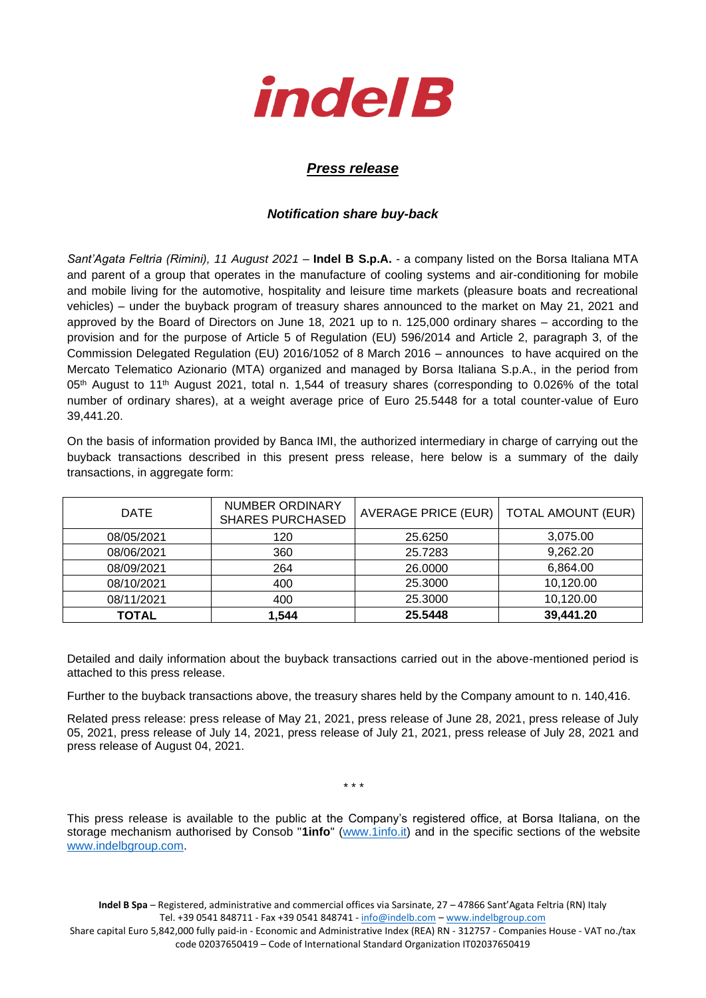

## *Press release*

## *Notification share buy-back*

*Sant'Agata Feltria (Rimini), 11 August 2021* – **Indel B S.p.A.** - a company listed on the Borsa Italiana MTA and parent of a group that operates in the manufacture of cooling systems and air-conditioning for mobile and mobile living for the automotive, hospitality and leisure time markets (pleasure boats and recreational vehicles) – under the buyback program of treasury shares announced to the market on May 21, 2021 and approved by the Board of Directors on June 18, 2021 up to n. 125,000 ordinary shares – according to the provision and for the purpose of Article 5 of Regulation (EU) 596/2014 and Article 2, paragraph 3, of the Commission Delegated Regulation (EU) 2016/1052 of 8 March 2016 – announces to have acquired on the Mercato Telematico Azionario (MTA) organized and managed by Borsa Italiana S.p.A., in the period from 05<sup>th</sup> August to 11<sup>th</sup> August 2021, total n. 1,544 of treasury shares (corresponding to 0.026% of the total number of ordinary shares), at a weight average price of Euro 25.5448 for a total counter-value of Euro 39,441.20.

On the basis of information provided by Banca IMI, the authorized intermediary in charge of carrying out the buyback transactions described in this present press release, here below is a summary of the daily transactions, in aggregate form:

| <b>DATE</b>  | <b>NUMBER ORDINARY</b><br><b>SHARES PURCHASED</b> | <b>AVERAGE PRICE (EUR)</b> | <b>TOTAL AMOUNT (EUR)</b> |
|--------------|---------------------------------------------------|----------------------------|---------------------------|
| 08/05/2021   | 120                                               | 25.6250                    | 3,075.00                  |
| 08/06/2021   | 360                                               | 25.7283                    | 9,262.20                  |
| 08/09/2021   | 264                                               | 26.0000                    | 6,864.00                  |
| 08/10/2021   | 400                                               | 25.3000                    | 10,120.00                 |
| 08/11/2021   | 400                                               | 25.3000                    | 10,120.00                 |
| <b>TOTAL</b> | 1,544                                             | 25.5448                    | 39,441.20                 |

Detailed and daily information about the buyback transactions carried out in the above-mentioned period is attached to this press release.

Further to the buyback transactions above, the treasury shares held by the Company amount to n. 140,416.

Related press release: press release of May 21, 2021, press release of June 28, 2021, press release of July 05, 2021, press release of July 14, 2021, press release of July 21, 2021, press release of July 28, 2021 and press release of August 04, 2021.

\* \* \*

This press release is available to the public at the Company's registered office, at Borsa Italiana, on the storage mechanism authorised by Consob "**1info**" [\(www.1info.it\)](file:///C:/Users/ddelietovollaro/AppData/Local/Microsoft/Windows/INetCache/Content.Outlook/T87B94UR/www.1info.it) and in the specific sections of the website [www.indelbgroup.com.](http://www.indelbgroup.com/)

**Indel B Spa** – Registered, administrative and commercial offices via Sarsinate, 27 – 47866 Sant'Agata Feltria (RN) Italy Tel. +39 0541 848711 - Fax +39 0541 848741 - [info@indelb.com](mailto:info@indelb.com) – [www.indelbgroup.com](http://www.indelbgroup.com/)

Share capital Euro 5,842,000 fully paid-in - Economic and Administrative Index (REA) RN - 312757 - Companies House - VAT no./tax code 02037650419 – Code of International Standard Organization IT02037650419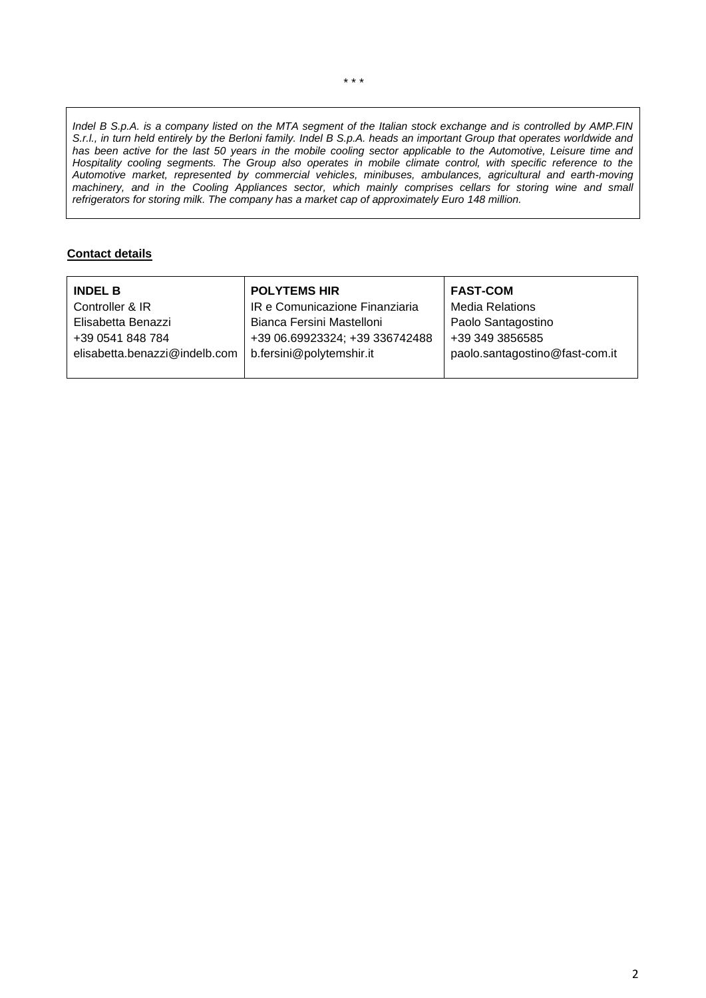*Indel B S.p.A. is a company listed on the MTA segment of the Italian stock exchange and is controlled by AMP.FIN S.r.l., in turn held entirely by the Berloni family. Indel B S.p.A. heads an important Group that operates worldwide and has been active for the last 50 years in the mobile cooling sector applicable to the Automotive, Leisure time and Hospitality cooling segments. The Group also operates in mobile climate control, with specific reference to the Automotive market, represented by commercial vehicles, minibuses, ambulances, agricultural and earth-moving machinery, and in the Cooling Appliances sector, which mainly comprises cellars for storing wine and small refrigerators for storing milk. The company has a market cap of approximately Euro 148 million.*

## **Contact details**

| <b>INDEL B</b>                | <b>POLYTEMS HIR</b>            | <b>FAST-COM</b>                |
|-------------------------------|--------------------------------|--------------------------------|
| Controller & IR               | IR e Comunicazione Finanziaria | <b>Media Relations</b>         |
| Elisabetta Benazzi            | Bianca Fersini Mastelloni      | Paolo Santagostino             |
| +39 0541 848 784              | +39 06.69923324; +39 336742488 | +39 349 3856585                |
| elisabetta.benazzi@indelb.com | b.fersini@polytemshir.it       | paolo.santagostino@fast-com.it |
|                               |                                |                                |